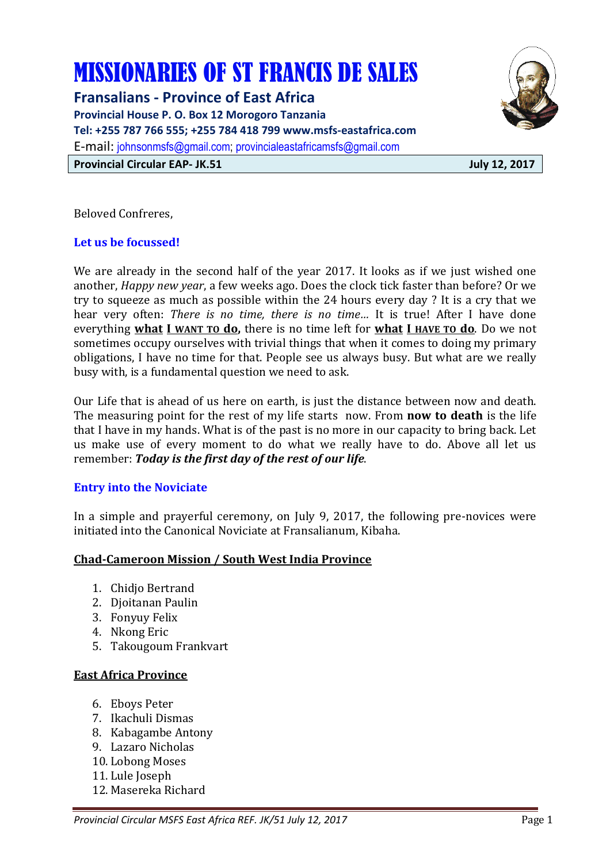# MISSIONARIES OF ST FRANCIS DE SALES

**Fransalians - Province of East Africa Provincial House P. O. Box 12 Morogoro Tanzania Tel: +255 787 766 555; +255 784 418 799 www.msfs-eastafrica.com**  E-mail: johnsonmsfs@gmail.com; provincialeastafricamsfs@gmail.com **Provincial Circular EAP- JK.51 July 12, 2017** 



Beloved Confreres,

# **Let us be focussed!**

We are already in the second half of the year 2017. It looks as if we just wished one another, *Happy new year*, a few weeks ago. Does the clock tick faster than before? Or we try to squeeze as much as possible within the 24 hours every day ? It is a cry that we hear very often: *There is no time, there is no time…* It is true! After I have done everything **what I WANT TO do,** there is no time left for **what I HAVE TO do**. Do we not sometimes occupy ourselves with trivial things that when it comes to doing my primary obligations, I have no time for that. People see us always busy. But what are we really busy with, is a fundamental question we need to ask.

Our Life that is ahead of us here on earth, is just the distance between now and death. The measuring point for the rest of my life starts now. From **now to death** is the life that I have in my hands. What is of the past is no more in our capacity to bring back. Let us make use of every moment to do what we really have to do. Above all let us remember: *Today is the first day of the rest of our life*.

# **Entry into the Noviciate**

In a simple and prayerful ceremony, on July 9, 2017, the following pre-novices were initiated into the Canonical Noviciate at Fransalianum, Kibaha.

#### **Chad-Cameroon Mission / South West India Province**

- 1. Chidjo Bertrand
- 2. Djoitanan Paulin
- 3. Fonyuy Felix
- 4. Nkong Eric
- 5. Takougoum Frankvart

#### **East Africa Province**

- 6. Eboys Peter
- 7. Ikachuli Dismas
- 8. Kabagambe Antony
- 9. Lazaro Nicholas
- 10. Lobong Moses
- 11. Lule Joseph
- 12. Masereka Richard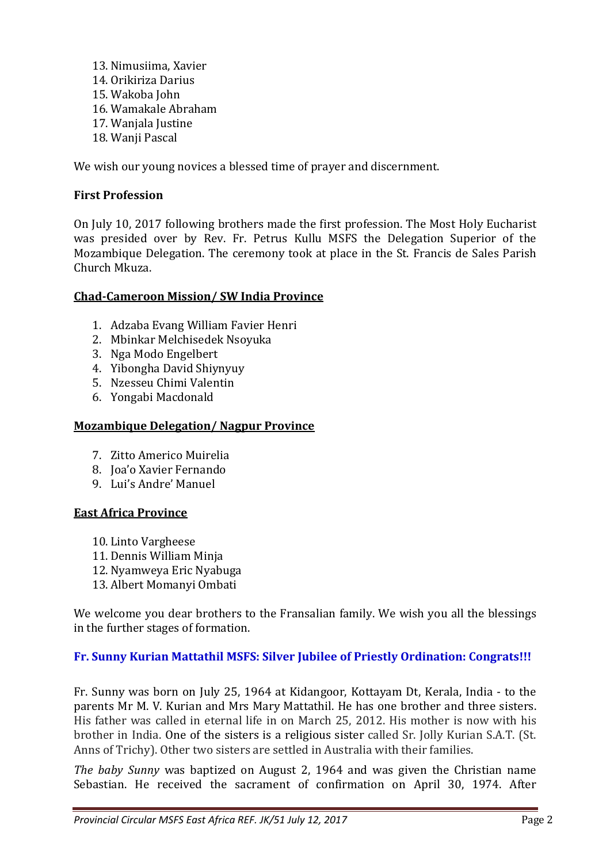13. Nimusiima, Xavier 14. Orikiriza Darius 15. Wakoba John 16. Wamakale Abraham 17. Wanjala Justine 18. Wanji Pascal

We wish our young novices a blessed time of prayer and discernment.

## **First Profession**

On July 10, 2017 following brothers made the first profession. The Most Holy Eucharist was presided over by Rev. Fr. Petrus Kullu MSFS the Delegation Superior of the Mozambique Delegation. The ceremony took at place in the St. Francis de Sales Parish Church Mkuza.

#### **Chad-Cameroon Mission/ SW India Province**

- 1. Adzaba Evang William Favier Henri
- 2. Mbinkar Melchisedek Nsoyuka
- 3. Nga Modo Engelbert
- 4. Yibongha David Shiynyuy
- 5. Nzesseu Chimi Valentin
- 6. Yongabi Macdonald

#### **Mozambique Delegation/ Nagpur Province**

- 7. Zitto Americo Muirelia
- 8. Joa'o Xavier Fernando
- 9. Lui's Andre' Manuel

#### **East Africa Province**

- 10. Linto Vargheese
- 11. Dennis William Minja
- 12. Nyamweya Eric Nyabuga
- 13. Albert Momanyi Ombati

We welcome you dear brothers to the Fransalian family. We wish you all the blessings in the further stages of formation.

#### **Fr. Sunny Kurian Mattathil MSFS: Silver Jubilee of Priestly Ordination: Congrats!!!**

Fr. Sunny was born on July 25, 1964 at Kidangoor, Kottayam Dt, Kerala, India - to the parents Mr M. V. Kurian and Mrs Mary Mattathil. He has one brother and three sisters. His father was called in eternal life in on March 25, 2012. His mother is now with his brother in India. One of the sisters is a religious sister called Sr. Jolly Kurian S.A.T. (St. Anns of Trichy). Other two sisters are settled in Australia with their families.

*The baby Sunny* was baptized on August 2, 1964 and was given the Christian name Sebastian. He received the sacrament of confirmation on April 30, 1974. After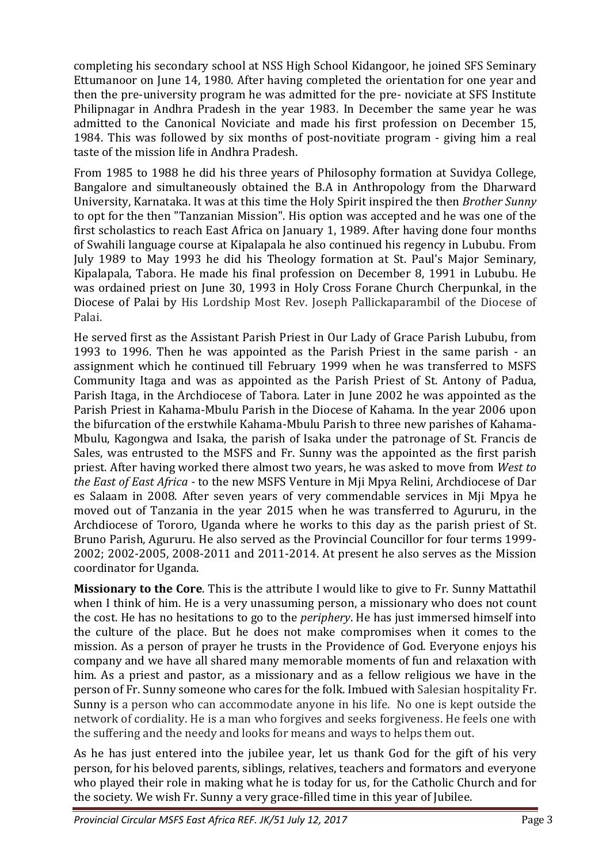completing his secondary school at NSS High School Kidangoor, he joined SFS Seminary Ettumanoor on June 14, 1980. After having completed the orientation for one year and then the pre-university program he was admitted for the pre- noviciate at SFS Institute Philipnagar in Andhra Pradesh in the year 1983. In December the same year he was admitted to the Canonical Noviciate and made his first profession on December 15, 1984. This was followed by six months of post-novitiate program - giving him a real taste of the mission life in Andhra Pradesh.

From 1985 to 1988 he did his three years of Philosophy formation at Suvidya College, Bangalore and simultaneously obtained the B.A in Anthropology from the Dharward University, Karnataka. It was at this time the Holy Spirit inspired the then *Brother Sunny* to opt for the then "Tanzanian Mission". His option was accepted and he was one of the first scholastics to reach East Africa on January 1, 1989. After having done four months of Swahili language course at Kipalapala he also continued his regency in Lububu. From July 1989 to May 1993 he did his Theology formation at St. Paul's Major Seminary, Kipalapala, Tabora. He made his final profession on December 8, 1991 in Lububu. He was ordained priest on June 30, 1993 in Holy Cross Forane Church Cherpunkal, in the Diocese of Palai by His Lordship Most Rev. Joseph Pallickaparambil of the Diocese of Palai.

He served first as the Assistant Parish Priest in Our Lady of Grace Parish Lububu, from 1993 to 1996. Then he was appointed as the Parish Priest in the same parish - an assignment which he continued till February 1999 when he was transferred to MSFS Community Itaga and was as appointed as the Parish Priest of St. Antony of Padua, Parish Itaga, in the Archdiocese of Tabora. Later in June 2002 he was appointed as the Parish Priest in Kahama-Mbulu Parish in the Diocese of Kahama. In the year 2006 upon the bifurcation of the erstwhile Kahama-Mbulu Parish to three new parishes of Kahama-Mbulu, Kagongwa and Isaka, the parish of Isaka under the patronage of St. Francis de Sales, was entrusted to the MSFS and Fr. Sunny was the appointed as the first parish priest. After having worked there almost two years, he was asked to move from *West to the East of East Africa -* to the new MSFS Venture in Mji Mpya Relini, Archdiocese of Dar es Salaam in 2008. After seven years of very commendable services in Mji Mpya he moved out of Tanzania in the year 2015 when he was transferred to Agururu, in the Archdiocese of Tororo, Uganda where he works to this day as the parish priest of St. Bruno Parish, Agururu. He also served as the Provincial Councillor for four terms 1999- 2002; 2002-2005, 2008-2011 and 2011-2014. At present he also serves as the Mission coordinator for Uganda.

**Missionary to the Core**. This is the attribute I would like to give to Fr. Sunny Mattathil when I think of him. He is a very unassuming person, a missionary who does not count the cost. He has no hesitations to go to the *periphery*. He has just immersed himself into the culture of the place. But he does not make compromises when it comes to the mission. As a person of prayer he trusts in the Providence of God. Everyone enjoys his company and we have all shared many memorable moments of fun and relaxation with him. As a priest and pastor, as a missionary and as a fellow religious we have in the person of Fr. Sunny someone who cares for the folk. Imbued with Salesian hospitality Fr. Sunny is a person who can accommodate anyone in his life. No one is kept outside the network of cordiality. He is a man who forgives and seeks forgiveness. He feels one with the suffering and the needy and looks for means and ways to helps them out.

As he has just entered into the jubilee year, let us thank God for the gift of his very person, for his beloved parents, siblings, relatives, teachers and formators and everyone who played their role in making what he is today for us, for the Catholic Church and for the society. We wish Fr. Sunny a very grace-filled time in this year of Jubilee.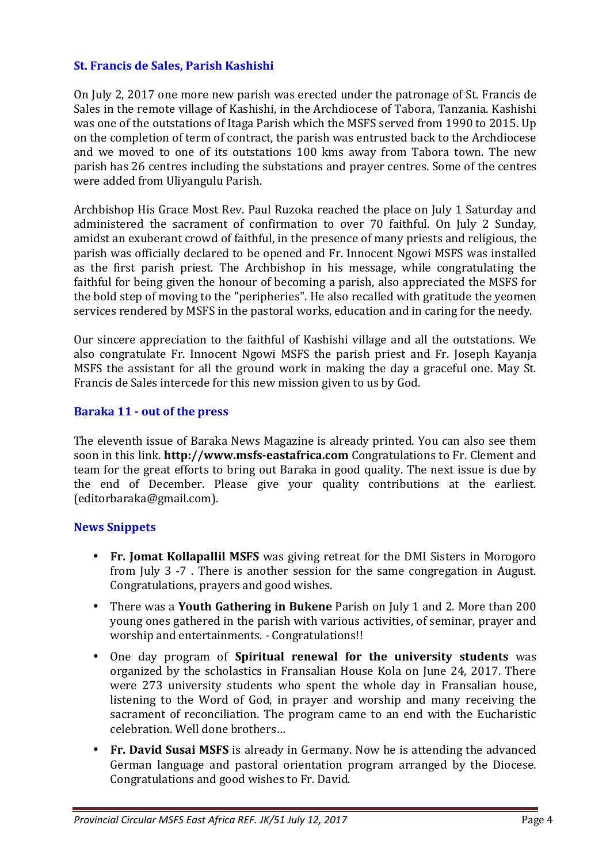## **St. Francis de Sales, Parish Kashishi**

On July 2, 2017 one more new parish was erected under the patronage of St. Francis de Sales in the remote village of Kashishi, in the Archdiocese of Tabora, Tanzania. Kashishi was one of the outstations of Itaga Parish which the MSFS served from 1990 to 2015. Up on the completion of term of contract, the parish was entrusted back to the Archdiocese and we moved to one of its outstations 100 kms away from Tabora town. The new parish has 26 centres including the substations and prayer centres. Some of the centres were added from Uliyangulu Parish.

Archbishop His Grace Most Rev. Paul Ruzoka reached the place on July 1 Saturday and administered the sacrament of confirmation to over 70 faithful. On July 2 Sunday, amidst an exuberant crowd of faithful, in the presence of many priests and religious, the parish was officially declared to be opened and Fr. Innocent Ngowi MSFS was installed as the first parish priest. The Archbishop in his message, while congratulating the faithful for being given the honour of becoming a parish, also appreciated the MSFS for the bold step of moving to the "peripheries". He also recalled with gratitude the yeomen services rendered by MSFS in the pastoral works, education and in caring for the needy.

Our sincere appreciation to the faithful of Kashishi village and all the outstations. We also congratulate Fr. Innocent Ngowi MSFS the parish priest and Fr. Joseph Kayanja MSFS the assistant for all the ground work in making the day a graceful one. May St. Francis de Sales intercede for this new mission given to us by God.

#### **Baraka 11 - out of the press**

The eleventh issue of Baraka News Magazine is already printed. You can also see them soon in this link. **http://www.msfs-eastafrica.com** Congratulations to Fr. Clement and team for the great efforts to bring out Baraka in good quality. The next issue is due by the end of December. Please give your quality contributions at the earliest. (editorbaraka@gmail.com).

#### **News Snippets**

- **Fr. Jomat Kollapallil MSFS** was giving retreat for the DMI Sisters in Morogoro from July 3 -7 . There is another session for the same congregation in August. Congratulations, prayers and good wishes.
- There was a **Youth Gathering in Bukene** Parish on July 1 and 2. More than 200 young ones gathered in the parish with various activities, of seminar, prayer and worship and entertainments. - Congratulations!!
- One day program of **Spiritual renewal for the university students** was organized by the scholastics in Fransalian House Kola on June 24, 2017. There were 273 university students who spent the whole day in Fransalian house, listening to the Word of God, in prayer and worship and many receiving the sacrament of reconciliation. The program came to an end with the Eucharistic celebration. Well done brothers…
- **Fr. David Susai MSFS** is already in Germany. Now he is attending the advanced German language and pastoral orientation program arranged by the Diocese. Congratulations and good wishes to Fr. David.